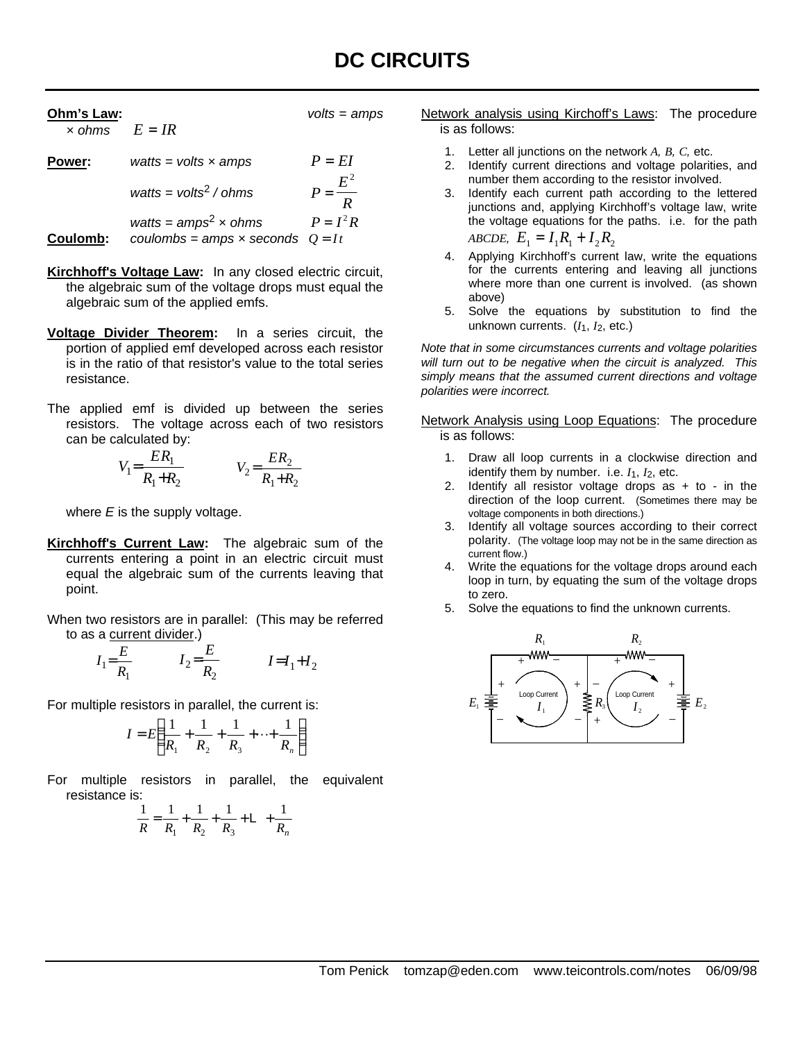| Ohm's Law:<br>$\times$ ohms $E = IR$ |                                      | $volts = amps$      |
|--------------------------------------|--------------------------------------|---------------------|
| Power:                               | watts = volts $\times$ amps          | $P = EI$            |
|                                      | watts = $v$ olts <sup>2</sup> / ohms | $P = \frac{E^2}{R}$ |
|                                      | watts = $amps^2$ x ohms              | $P = I^2 R$         |

**Coulomb:** *coulombs = amps x seconds*  $Q = It$ 

- **Kirchhoff's Voltage Law:** In any closed electric circuit, the algebraic sum of the voltage drops must equal the algebraic sum of the applied emfs.
- **Voltage Divider Theorem:** In a series circuit, the portion of applied emf developed across each resistor is in the ratio of that resistor's value to the total series resistance.
- The applied emf is divided up between the series resistors. The voltage across each of two resistors can be calculated by:

$$
V_1 = \frac{ER_1}{R_1 + R_2} \qquad V_2 = \frac{ER_2}{R_1 + R_2}
$$

where *E* is the supply voltage.

- **Kirchhoff's Current Law:** The algebraic sum of the currents entering a point in an electric circuit must equal the algebraic sum of the currents leaving that point.
- When two resistors are in parallel: (This may be referred to as a current divider.)

$$
I_1 = \frac{E}{R_1}
$$
 
$$
I_2 = \frac{E}{R_2}
$$
 
$$
I = I_1 + I_2
$$

For multiple resistors in parallel, the current is:

$$
I = E\left(\frac{1}{R_1} + \frac{1}{R_2} + \frac{1}{R_3} + \dots + \frac{1}{R_n}\right)
$$

For multiple resistors in parallel, the equivalent resistance is:

$$
\frac{1}{R} = \frac{1}{R_1} + \frac{1}{R_2} + \frac{1}{R_3} + \mathsf{L} + \frac{1}{R_n}
$$

Network analysis using Kirchoff's Laws: The procedure is as follows:

- 1. Letter all junctions on the network *A, B, C,* etc.
- 2. Identify current directions and voltage polarities, and number them according to the resistor involved.
- 3. Identify each current path according to the lettered junctions and, applying Kirchhoff's voltage law, write the voltage equations for the paths. i.e. for the path *ABCDE,*  $E_1 = I_1 R_1 + I_2 R_2$
- 4. Applying Kirchhoff's current law, write the equations for the currents entering and leaving all junctions where more than one current is involved. (as shown above)
- 5. Solve the equations by substitution to find the unknown currents. (*I*1, *I*2, etc.)

*Note that in some circumstances currents and voltage polarities will turn out to be negative when the circuit is analyzed. This simply means that the assumed current directions and voltage polarities were incorrect.*

Network Analysis using Loop Equations: The procedure is as follows:

- 1. Draw all loop currents in a clockwise direction and identify them by number. i.e. *I*1, *I*2, etc.
- 2. Identify all resistor voltage drops as  $+$  to  $-$  in the direction of the loop current. (Sometimes there may be voltage components in both directions.)
- 3. Identify all voltage sources according to their correct polarity. (The voltage loop may not be in the same direction as current flow.)
- 4. Write the equations for the voltage drops around each loop in turn, by equating the sum of the voltage drops to zero.
- 5. Solve the equations to find the unknown currents.

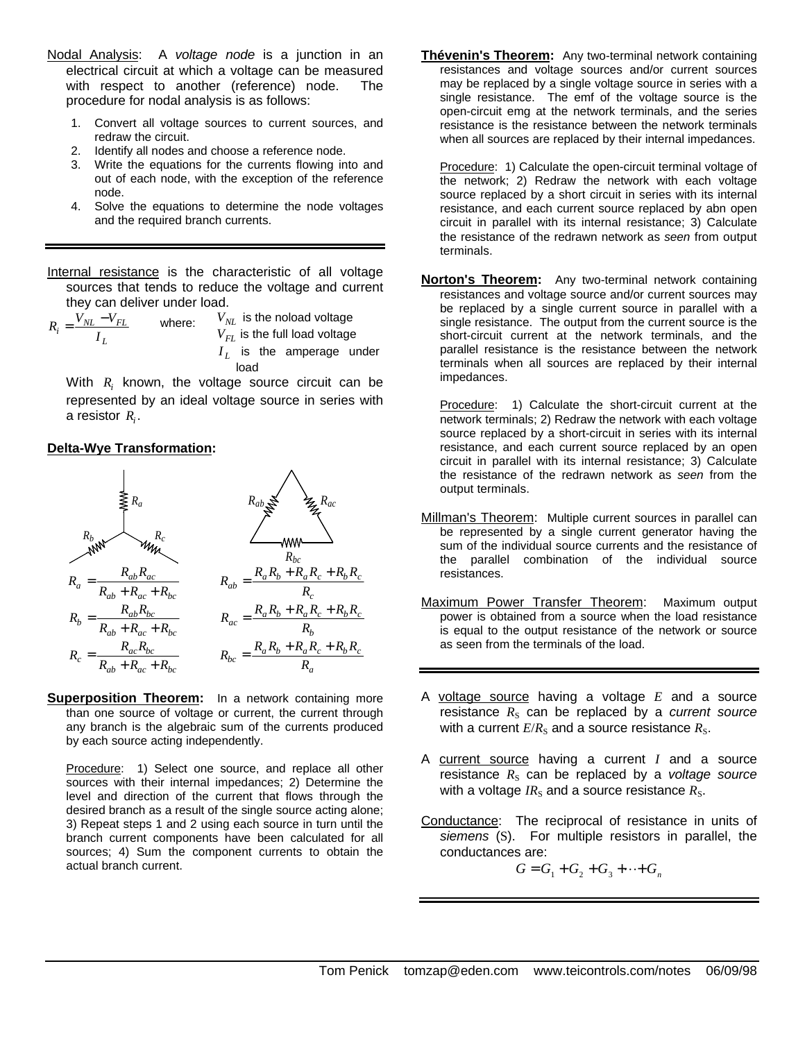- Nodal Analysis: A *voltage node* is a junction in an electrical circuit at which a voltage can be measured with respect to another (reference) node. The procedure for nodal analysis is as follows:
	- 1. Convert all voltage sources to current sources, and redraw the circuit.
	- 2. Identify all nodes and choose a reference node.
	- 3. Write the equations for the currents flowing into and out of each node, with the exception of the reference node.
	- 4. Solve the equations to determine the node voltages and the required branch currents.
- Internal resistance is the characteristic of all voltage sources that tends to reduce the voltage and current they can deliver under load.

$$
R_i = \frac{V_{NL} - V_{FL}}{I_L}
$$
 where:  $V_{NL}$  is the noload voltage  
\n
$$
V_{FL}
$$
 is the full load voltage  
\n
$$
I_L
$$
 is the amperage under  
\nload

With *R<sup>i</sup>* known, the voltage source circuit can be represented by an ideal voltage source in series with a resistor  $R_i$ .

#### **Delta-Wye Transformation:**



**Superposition Theorem:** In a network containing more than one source of voltage or current, the current through any branch is the algebraic sum of the currents produced by each source acting independently.

Procedure: 1) Select one source, and replace all other sources with their internal impedances; 2) Determine the level and direction of the current that flows through the desired branch as a result of the single source acting alone; 3) Repeat steps 1 and 2 using each source in turn until the branch current components have been calculated for all sources; 4) Sum the component currents to obtain the actual branch current.

**Thévenin's Theorem:** Any two-terminal network containing resistances and voltage sources and/or current sources may be replaced by a single voltage source in series with a single resistance. The emf of the voltage source is the open-circuit emg at the network terminals, and the series resistance is the resistance between the network terminals when all sources are replaced by their internal impedances.

Procedure: 1) Calculate the open-circuit terminal voltage of the network; 2) Redraw the network with each voltage source replaced by a short circuit in series with its internal resistance, and each current source replaced by abn open circuit in parallel with its internal resistance; 3) Calculate the resistance of the redrawn network as *seen* from output terminals.

**Norton's Theorem:** Any two-terminal network containing resistances and voltage source and/or current sources may be replaced by a single current source in parallel with a single resistance. The output from the current source is the short-circuit current at the network terminals, and the parallel resistance is the resistance between the network terminals when all sources are replaced by their internal impedances.

Procedure: 1) Calculate the short-circuit current at the network terminals; 2) Redraw the network with each voltage source replaced by a short-circuit in series with its internal resistance, and each current source replaced by an open circuit in parallel with its internal resistance; 3) Calculate the resistance of the redrawn network as *seen* from the output terminals.

- Millman's Theorem: Multiple current sources in parallel can be represented by a single current generator having the sum of the individual source currents and the resistance of the parallel combination of the individual source resistances.
- Maximum Power Transfer Theorem: Maximum output power is obtained from a source when the load resistance is equal to the output resistance of the network or source as seen from the terminals of the load.
- A voltage source having a voltage *E* and a source resistance  $R<sub>S</sub>$  can be replaced by a *current source* with a current  $E/R<sub>S</sub>$  and a source resistance  $R<sub>S</sub>$ .
- A current source having a current *I* and a source resistance  $R<sub>S</sub>$  can be replaced by a *voltage source* with a voltage  $IR_s$  and a source resistance  $R_s$ .
- Conductance: The reciprocal of resistance in units of *siemens* (S). For multiple resistors in parallel, the conductances are:

 $G = G_1 + G_2 + G_3 + \cdots + G_n$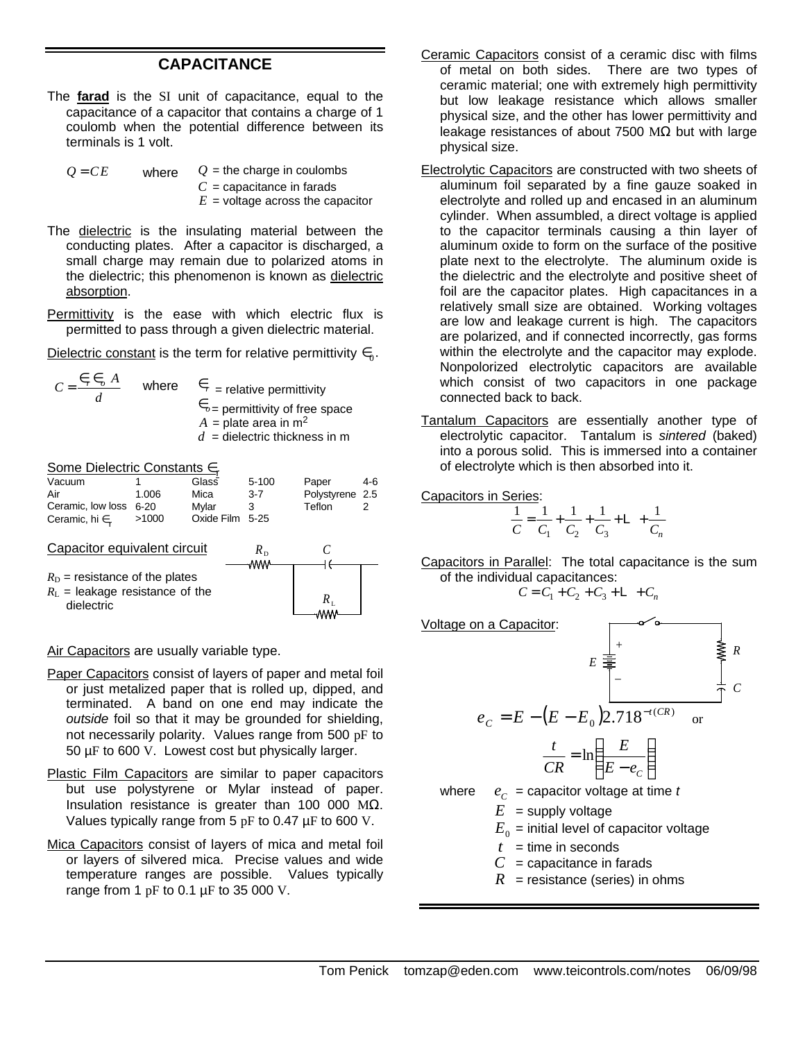# **CAPACITANCE**

The **farad** is the SI unit of capacitance, equal to the capacitance of a capacitor that contains a charge of 1 coulomb when the potential difference between its terminals is 1 volt.

| $Q = CE$ | where | $Q =$ the charge in coulombs       |
|----------|-------|------------------------------------|
|          |       | $C =$ capacitance in farads        |
|          |       | $E =$ voltage across the capacitor |

- The dielectric is the insulating material between the conducting plates. After a capacitor is discharged, a small charge may remain due to polarized atoms in the dielectric; this phenomenon is known as dielectric absorption.
- Permittivity is the ease with which electric flux is permitted to pass through a given dielectric material.

Dielectric constant is the term for relative permittivity  $\in_0$ .

 $C = \frac{\epsilon_r \epsilon_o A}{I}$ where  $\epsilon_r$  = relative permittivity ∈*o*= permittivity of free space  $A =$  plate area in m<sup>2</sup>  $d =$  dielectric thickness in m

Some Dielectric Constants ∈<sub>r</sub> Vacuum Air Ceramic, low loss 6-20 Ceramic, hi  $\in$ 1 1.006 >1000 Glass Mica Mylar Oxide Film 5-25 5-100 3-7 3 Paper Polystyrene 2.5 **Teflon** 4-6  $\mathfrak{p}$ Capacitor equivalent circuit

 $R_D$  = resistance of the plates  $R_{L}$  = leakage resistance of the dielectric

*d*  $=\frac{\epsilon_r \epsilon_o}{\cdot}$ 



Air Capacitors are usually variable type.

- Paper Capacitors consist of layers of paper and metal foil or just metalized paper that is rolled up, dipped, and terminated. A band on one end may indicate the *outside* foil so that it may be grounded for shielding, not necessarily polarity. Values range from 500 pF to 50 µF to 600 V. Lowest cost but physically larger.
- Plastic Film Capacitors are similar to paper capacitors but use polystyrene or Mylar instead of paper. Insulation resistance is greater than 100 000 MΩ. Values typically range from 5 pF to 0.47 µF to 600 V.
- Mica Capacitors consist of layers of mica and metal foil or layers of silvered mica. Precise values and wide temperature ranges are possible. Values typically range from 1  $pF$  to 0.1  $\mu$ F to 35 000 V.
- Ceramic Capacitors consist of a ceramic disc with films of metal on both sides. There are two types of ceramic material; one with extremely high permittivity but low leakage resistance which allows smaller physical size, and the other has lower permittivity and leakage resistances of about 7500 MΩ but with large physical size.
- Electrolytic Capacitors are constructed with two sheets of aluminum foil separated by a fine gauze soaked in electrolyte and rolled up and encased in an aluminum cylinder. When assumbled, a direct voltage is applied to the capacitor terminals causing a thin layer of aluminum oxide to form on the surface of the positive plate next to the electrolyte. The aluminum oxide is the dielectric and the electrolyte and positive sheet of foil are the capacitor plates. High capacitances in a relatively small size are obtained. Working voltages are low and leakage current is high. The capacitors are polarized, and if connected incorrectly, gas forms within the electrolyte and the capacitor may explode. Nonpolorized electrolytic capacitors are available which consist of two capacitors in one package connected back to back.
- Tantalum Capacitors are essentially another type of electrolytic capacitor. Tantalum is *sintered* (baked) into a porous solid. This is immersed into a container of electrolyte which is then absorbed into it.

Capacitors in Series:

$$
\frac{1}{C} = \frac{1}{C_1} + \frac{1}{C_2} + \frac{1}{C_3} + \mathsf{L} + \frac{1}{C_n}
$$

Capacitors in Parallel: The total capacitance is the sum of the individual capacitances:

$$
C = C_1 + C_2 + C_3 + L + C_n
$$

Voltage on a Capacitor:

$$
E \frac{\frac{1}{\frac{2}{\frac{1}{c}}}}{\frac{1}{c}} = \frac{1}{c}
$$
  
\n
$$
e_C = E - (E - E_0)2.718^{-t(CR)} \text{ or}
$$
  
\n
$$
\frac{t}{CR} = \ln\left(\frac{E}{E - e_C}\right)
$$

where  $e_c$  = capacitor voltage at time *t* 

 $E =$  supply voltage

 $E_{_0}$  = initial level of capacitor voltage

- $t =$  time in seconds
- $C =$  capacitance in farads
- $R$  = resistance (series) in ohms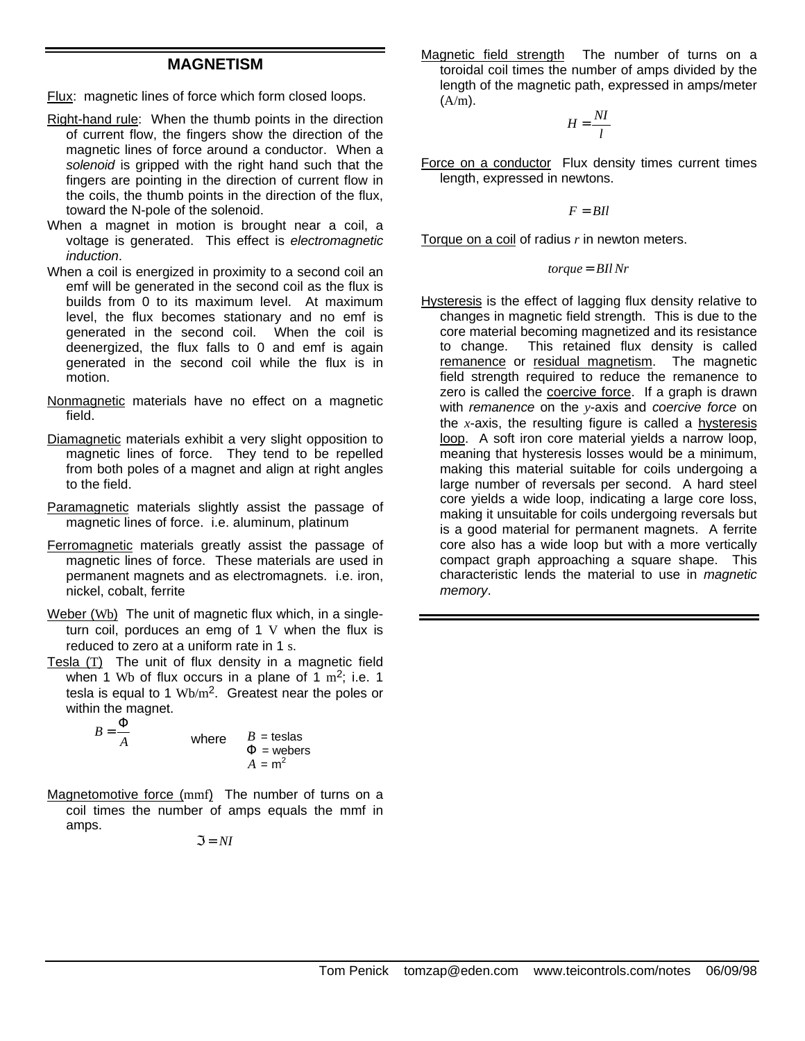## **MAGNETISM**

Flux: magnetic lines of force which form closed loops.

- Right-hand rule: When the thumb points in the direction of current flow, the fingers show the direction of the magnetic lines of force around a conductor. When a *solenoid* is gripped with the right hand such that the fingers are pointing in the direction of current flow in the coils, the thumb points in the direction of the flux, toward the N-pole of the solenoid.
- When a magnet in motion is brought near a coil, a voltage is generated. This effect is *electromagnetic induction*.
- When a coil is energized in proximity to a second coil an emf will be generated in the second coil as the flux is builds from 0 to its maximum level. At maximum level, the flux becomes stationary and no emf is generated in the second coil. When the coil is deenergized, the flux falls to 0 and emf is again generated in the second coil while the flux is in motion.
- Nonmagnetic materials have no effect on a magnetic field.
- Diamagnetic materials exhibit a very slight opposition to magnetic lines of force. They tend to be repelled from both poles of a magnet and align at right angles to the field.
- Paramagnetic materials slightly assist the passage of magnetic lines of force. i.e. aluminum, platinum
- Ferromagnetic materials greatly assist the passage of magnetic lines of force. These materials are used in permanent magnets and as electromagnets. i.e. iron, nickel, cobalt, ferrite
- Weber (Wb) The unit of magnetic flux which, in a singleturn coil, porduces an emg of 1 V when the flux is reduced to zero at a uniform rate in 1 s.
- Tesla (T) The unit of flux density in a magnetic field when 1 Wb of flux occurs in a plane of 1  $m^2$ ; i.e. 1 tesla is equal to 1  $Wb/m^2$ . Greatest near the poles or within the magnet.

$$
B = \frac{\Phi}{A}
$$
 where 
$$
B = \text{teslas}
$$

$$
\Phi = \text{webers}
$$

$$
A = \text{m}^2
$$

Magnetomotive force (mmf) The number of turns on a coil times the number of amps equals the mmf in amps.

$$
\mathfrak{I}=N I
$$

Magnetic field strength The number of turns on a toroidal coil times the number of amps divided by the length of the magnetic path, expressed in amps/meter  $(A/m)$ .

> $H = \frac{NI}{I}$ *l* =

Force on a conductor Flux density times current times length, expressed in newtons.

 $F = BII$ 

Torque on a coil of radius *r* in newton meters.

#### *torque* = *BIl Nr*

Hysteresis is the effect of lagging flux density relative to changes in magnetic field strength. This is due to the core material becoming magnetized and its resistance to change. This retained flux density is called remanence or residual magnetism. The magnetic field strength required to reduce the remanence to zero is called the coercive force. If a graph is drawn with *remanence* on the *y*-axis and *coercive force* on the *x*-axis, the resulting figure is called a hysteresis loop. A soft iron core material yields a narrow loop, meaning that hysteresis losses would be a minimum, making this material suitable for coils undergoing a large number of reversals per second. A hard steel core yields a wide loop, indicating a large core loss, making it unsuitable for coils undergoing reversals but is a good material for permanent magnets. A ferrite core also has a wide loop but with a more vertically compact graph approaching a square shape. This characteristic lends the material to use in *magnetic memory*.